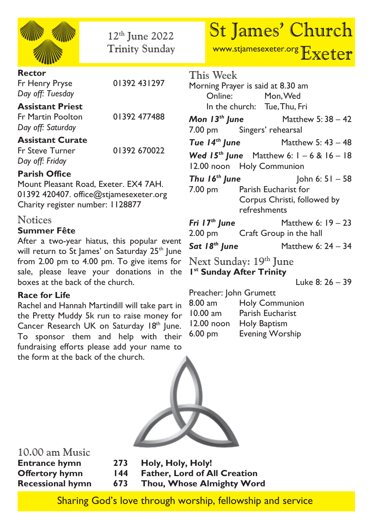|                                                                                                                                                                                                                                                                                                                                                                                                                                                                                                          | 12 <sup>th</sup> June 2022<br><b>Trinity Sunday</b> |                                                                                                                                                         |                                                                                                                                                                                                                       | <b>St James' Church</b><br>www.stjamesexeter.org Exeter                            |
|----------------------------------------------------------------------------------------------------------------------------------------------------------------------------------------------------------------------------------------------------------------------------------------------------------------------------------------------------------------------------------------------------------------------------------------------------------------------------------------------------------|-----------------------------------------------------|---------------------------------------------------------------------------------------------------------------------------------------------------------|-----------------------------------------------------------------------------------------------------------------------------------------------------------------------------------------------------------------------|------------------------------------------------------------------------------------|
| <b>Rector</b><br>Fr Henry Pryse<br>Day off: Tuesday<br><b>Assistant Priest</b><br><b>Fr Martin Poolton</b><br>Day off: Saturday                                                                                                                                                                                                                                                                                                                                                                          | 01392 431297<br>01392 477488                        | This Week<br>Morning Prayer is said at 8.30 am<br>7.00 pm Singers' rehearsal                                                                            | Online: Mon, Wed<br>In the church: Tue, Thu, Fri                                                                                                                                                                      | <b>Mon 13</b> <sup>th</sup> June Matthew 5: $38 - 42$                              |
| <b>Assistant Curate</b><br>01392 670022<br>Fr Steve Turner<br>Day off: Friday<br><b>Parish Office</b><br>Mount Pleasant Road, Exeter. EX4 7AH.<br>01392 420407. office@stjamesexeter.org<br>Charity register number: 1128877<br><b>Notices</b><br>Summer Fête<br>After a two-year hiatus, this popular event<br>will return to St James' on Saturday 25 <sup>th</sup> June<br>from 2.00 pm to 4.00 pm. To give items for<br>sale, please leave your donations in the<br>boxes at the back of the church. |                                                     | Tue $14^{th}$ June<br>Thu 16 <sup>th</sup> June                                                                                                         | Matthew 5: 43 - 48<br><b>Wed 15<sup>th</sup> June</b> Matthew 6: $1 - 6$ & $16 - 18$<br>12.00 noon Holy Communion<br>John 6: $51 - 58$<br>7.00 pm Parish Eucharist for<br>Corpus Christi, followed by<br>refreshments |                                                                                    |
|                                                                                                                                                                                                                                                                                                                                                                                                                                                                                                          |                                                     | Fri 17 <sup>th</sup> June<br>2.00 pm Craft Group in the hall<br>Next Sunday: 19 <sup>th</sup> June<br>I <sup>st</sup> Sunday After Trinity              |                                                                                                                                                                                                                       | Matthew 6: 19 - 23<br><b>Sat 18th June</b> Matthew 6: $24 - 34$<br>Luke 8: 26 - 39 |
| <b>Race for Life</b><br>Rachel and Hannah Martindill will take part in<br>the Pretty Muddy 5k run to raise money for<br>Cancer Research UK on Saturday 18th June.<br>To sponsor them and help with their<br>fundraising efforts please add your name to<br>the form at the back of the church.                                                                                                                                                                                                           |                                                     | Preacher: John Grumett<br>8.00 am Holy Communion<br>10.00 am Parish Eucharist<br>12.00 noon Holy Baptism<br>$6.00 \text{ pm}$<br><b>Evening Worship</b> |                                                                                                                                                                                                                       |                                                                                    |



| 10.00 am Music          |  |  |  |  |
|-------------------------|--|--|--|--|
| <b>Entrance hymn</b>    |  |  |  |  |
| <b>Offertory hymn</b>   |  |  |  |  |
| <b>Recessional hymn</b> |  |  |  |  |

**Entrance hymn 273 Holy, Holy, Holy!**

**144 Father, Lord of All Creation**<br>**673 Thou, Whose Almighty Wor** 

**Recessional hymn 673 Thou, Whose Almighty Word**

Sharing God's love through worship, fellowship and service